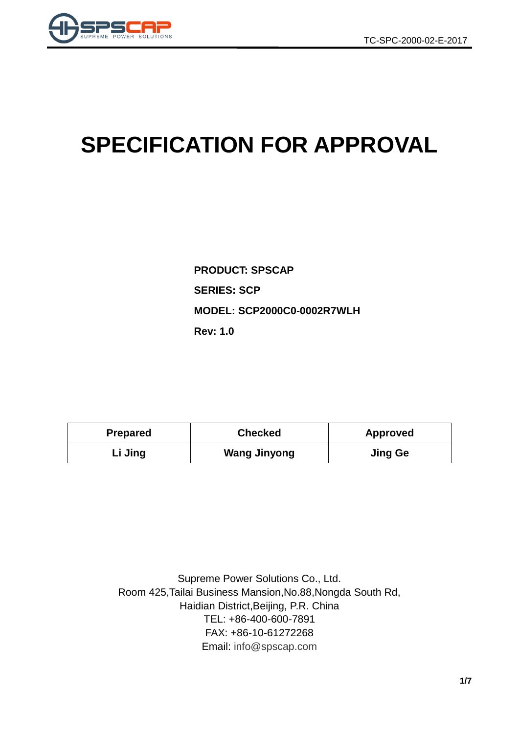

# **SPECIFICATION FOR APPROVAL**

**PRODUCT: SPSCAP SERIES: SCP MODEL: SCP2000C0-0002R7WLH Rev: 1.0**

| <b>Prepared</b> | <b>Checked</b>      | <b>Approved</b> |  |
|-----------------|---------------------|-----------------|--|
| Li Jing         | <b>Wang Jinyong</b> | <b>Jing Ge</b>  |  |

Supreme Power Solutions Co., Ltd. Room 425,Tailai Business Mansion,No.88,Nongda South Rd, Haidian District,Beijing, P.R. China TEL: +86-400-600-7891 FAX: +86-10-61272268 Email: [info@spscap.com](mailto:info@spscap.com)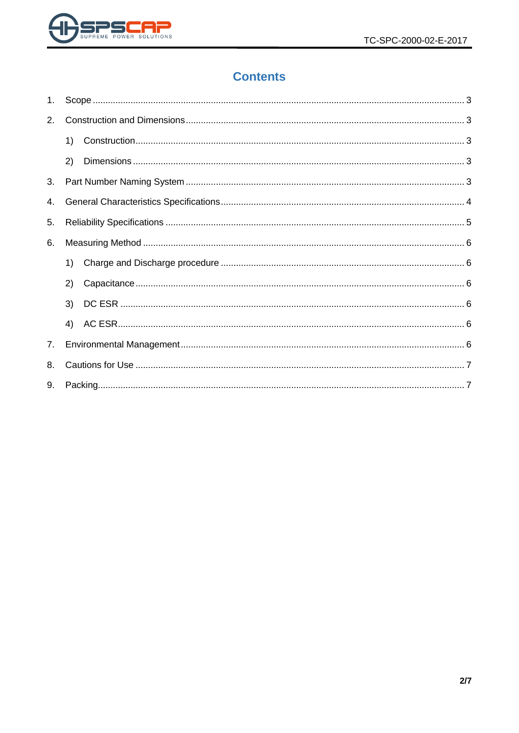

# **Contents**

| 1. |    |  |  |  |  |  |
|----|----|--|--|--|--|--|
| 2. |    |  |  |  |  |  |
|    | 1) |  |  |  |  |  |
|    | 2) |  |  |  |  |  |
| 3. |    |  |  |  |  |  |
| 4. |    |  |  |  |  |  |
| 5. |    |  |  |  |  |  |
| 6. |    |  |  |  |  |  |
|    | 1) |  |  |  |  |  |
|    | 2) |  |  |  |  |  |
|    | 3) |  |  |  |  |  |
|    | 4) |  |  |  |  |  |
| 7. |    |  |  |  |  |  |
| 8. |    |  |  |  |  |  |
| 9. |    |  |  |  |  |  |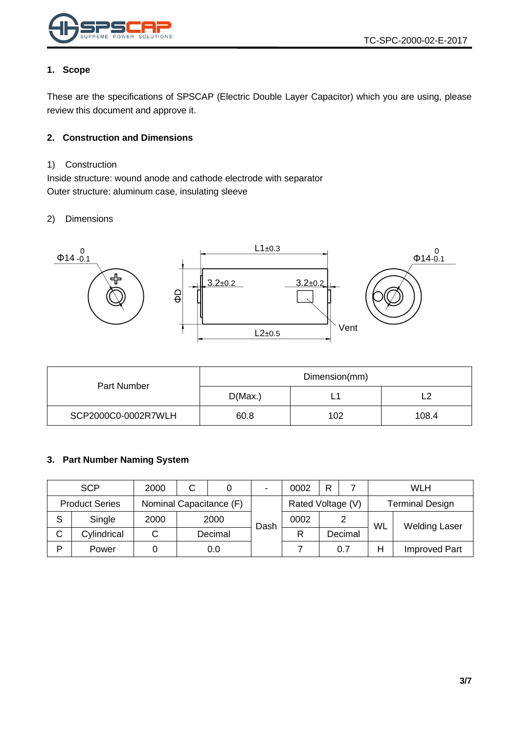

#### <span id="page-2-0"></span>**1. Scope**

These are the specifications of SPSCAP (Electric Double Layer Capacitor) which you are using, please review this document and approve it.

#### <span id="page-2-1"></span>**2. Construction and Dimensions**

#### <span id="page-2-2"></span>1) Construction

Inside structure: wound anode and cathode electrode with separator Outer structure: aluminum case, insulating sleeve

#### <span id="page-2-3"></span>2) Dimensions



|                     | Dimension(mm) |     |       |  |
|---------------------|---------------|-----|-------|--|
| Part Number         | D(Max.)       | -   |       |  |
| SCP2000C0-0002R7WLH | 60.8          | 102 | 108.4 |  |

#### <span id="page-2-4"></span>**3. Part Number Naming System**

|   | <b>SCP</b>            | 2000 | С                       |         | $\blacksquare$ | 0002              | R |                        |           | WLH                  |
|---|-----------------------|------|-------------------------|---------|----------------|-------------------|---|------------------------|-----------|----------------------|
|   | <b>Product Series</b> |      | Nominal Capacitance (F) |         |                | Rated Voltage (V) |   | <b>Terminal Design</b> |           |                      |
| S | Single                | 2000 |                         | 2000    | Dash           | 0002              |   |                        | <b>WL</b> | <b>Welding Laser</b> |
| C | Cylindrical           | ັ    |                         | Decimal |                | R                 |   | Decimal                |           |                      |
| Þ | Power                 |      |                         | 0.0     |                |                   |   | 0.7                    | Н         | <b>Improved Part</b> |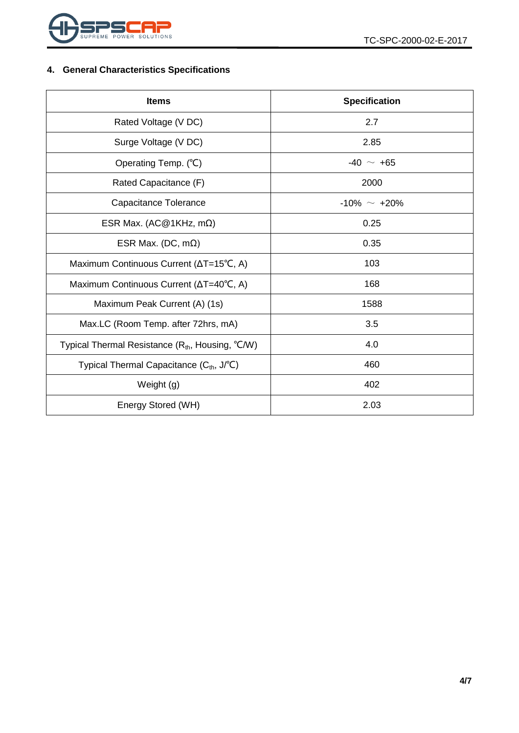

## <span id="page-3-0"></span>**4. General Characteristics Specifications**

| <b>Items</b>                                                 | <b>Specification</b> |  |  |
|--------------------------------------------------------------|----------------------|--|--|
| Rated Voltage (V DC)                                         | 2.7                  |  |  |
| Surge Voltage (V DC)                                         | 2.85                 |  |  |
| Operating Temp. (°C)                                         | $-40 \sim +65$       |  |  |
| Rated Capacitance (F)                                        | 2000                 |  |  |
| Capacitance Tolerance                                        | $-10\% \sim +20\%$   |  |  |
| ESR Max. (AC@1KHz, m $\Omega$ )                              | 0.25                 |  |  |
| ESR Max. (DC, $m\Omega$ )                                    | 0.35                 |  |  |
| Maximum Continuous Current (∆T=15°C, A)                      | 103                  |  |  |
| Maximum Continuous Current (ΔT=40°C, A)                      | 168                  |  |  |
| Maximum Peak Current (A) (1s)                                | 1588                 |  |  |
| Max.LC (Room Temp. after 72hrs, mA)                          | 3.5                  |  |  |
| Typical Thermal Resistance (R <sub>th</sub> , Housing, °C/W) | 4.0                  |  |  |
| Typical Thermal Capacitance (C <sub>th</sub> , J/°C)         | 460                  |  |  |
| Weight (g)                                                   | 402                  |  |  |
| Energy Stored (WH)                                           | 2.03                 |  |  |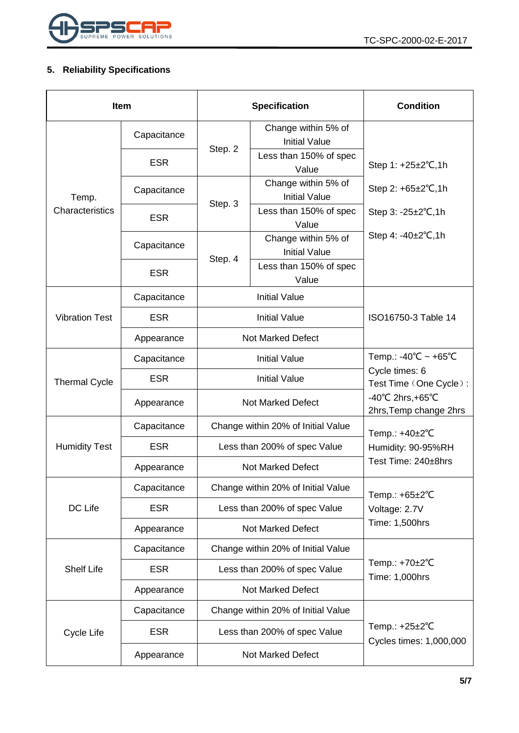

## <span id="page-4-0"></span>**5. Reliability Specifications**

| <b>Item</b>           |             |                                    | <b>Specification</b>                        | <b>Condition</b>                                                 |
|-----------------------|-------------|------------------------------------|---------------------------------------------|------------------------------------------------------------------|
|                       | Capacitance |                                    | Change within 5% of<br><b>Initial Value</b> |                                                                  |
|                       | <b>ESR</b>  | Step. 2                            | Less than 150% of spec<br>Value             | Step 1: +25±2°C,1h                                               |
| Temp.                 | Capacitance | Step. 3                            | Change within 5% of<br><b>Initial Value</b> | Step 2: $+65\pm2\degree$ C, 1h                                   |
| Characteristics       | <b>ESR</b>  |                                    | Less than 150% of spec<br>Value             | Step $3: -25 \pm 2^{\circ}C, 1h$                                 |
|                       | Capacitance | Step. 4                            | Change within 5% of<br><b>Initial Value</b> | Step 4: $-40\pm2^{\circ}C$ , 1h                                  |
|                       | <b>ESR</b>  |                                    | Less than 150% of spec<br>Value             |                                                                  |
|                       | Capacitance |                                    | <b>Initial Value</b>                        |                                                                  |
| <b>Vibration Test</b> | <b>ESR</b>  |                                    | <b>Initial Value</b>                        | ISO16750-3 Table 14                                              |
|                       | Appearance  | <b>Not Marked Defect</b>           |                                             |                                                                  |
| <b>Thermal Cycle</b>  | Capacitance | <b>Initial Value</b>               |                                             | Temp.: -40°C ~ +65°C<br>Cycle times: 6<br>Test Time (One Cycle): |
|                       | <b>ESR</b>  | <b>Initial Value</b>               |                                             |                                                                  |
|                       | Appearance  |                                    | Not Marked Defect                           | $-40^{\circ}$ C 2hrs, +65 $^{\circ}$ C<br>2hrs, Temp change 2hrs |
|                       | Capacitance | Change within 20% of Initial Value |                                             | Temp.: +40±2°C                                                   |
| <b>Humidity Test</b>  | <b>ESR</b>  | Less than 200% of spec Value       |                                             | Humidity: 90-95%RH                                               |
|                       | Appearance  | <b>Not Marked Defect</b>           |                                             | Test Time: 240±8hrs                                              |
|                       | Capacitance |                                    | Change within 20% of Initial Value          | Temp.: $+65\pm2$ °C                                              |
| DC Life               | <b>ESR</b>  | Less than 200% of spec Value       |                                             | Voltage: 2.7V                                                    |
|                       | Appearance  | <b>Not Marked Defect</b>           |                                             | Time: 1,500hrs                                                   |
|                       | Capacitance | Change within 20% of Initial Value |                                             |                                                                  |
| <b>Shelf Life</b>     | <b>ESR</b>  | Less than 200% of spec Value       |                                             | Temp.: +70±2°C<br>Time: 1,000hrs                                 |
|                       | Appearance  | <b>Not Marked Defect</b>           |                                             |                                                                  |
|                       | Capacitance | Change within 20% of Initial Value |                                             |                                                                  |
| Cycle Life            | <b>ESR</b>  |                                    | Less than 200% of spec Value                | Temp.: $+25\pm2$ °C<br>Cycles times: 1,000,000                   |
|                       | Appearance  | Not Marked Defect                  |                                             |                                                                  |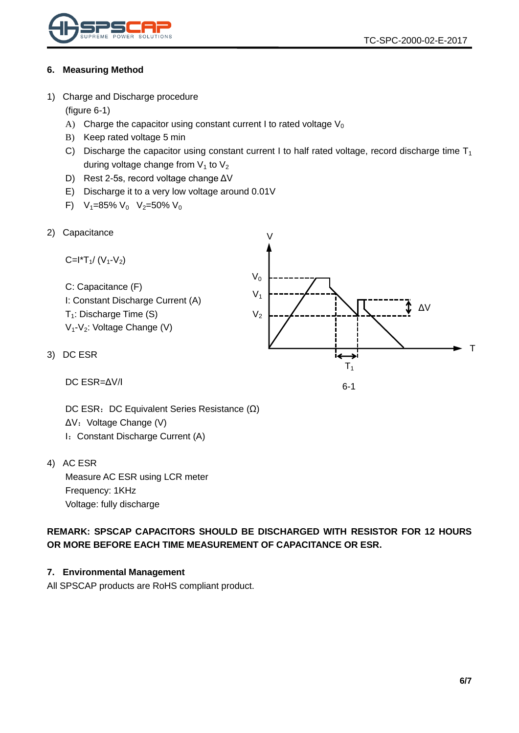

#### <span id="page-5-0"></span>**6. Measuring Method**

<span id="page-5-1"></span>1) Charge and Discharge procedure

(figure 6-1)

- A) Charge the capacitor using constant current I to rated voltage  $V_0$
- B) Keep rated voltage 5 min
- C) Discharge the capacitor using constant current I to half rated voltage, record discharge time  $T_1$ during voltage change from  $V_1$  to  $V_2$
- D) Rest 2-5s, record voltage change ΔV
- E) Discharge it to a very low voltage around 0.01V
- F)  $V_1=85\% V_0 V_2=50\% V_0$
- <span id="page-5-2"></span>2) Capacitance

Capactance

\n
$$
C = I^*T_1 / (V_1 - V_2)
$$
\nC: Capacitance (F)

\nI: Constant Discharge Current (A)

\n
$$
T_1
$$
\nDischarge Time (S)

\n
$$
V_1
$$
\n
$$
V_2
$$
\n
$$
V_3
$$
\n
$$
V_4 - V_2
$$
\nNotage Change (V)

\nDC ESR

\n
$$
T_1
$$
\n
$$
T_2
$$
\n
$$
T_3
$$
\n
$$
T_4
$$
\n
$$
T_5
$$
\n
$$
T_6
$$
\n
$$
T_7
$$

6-1

DC ESR=ΔV/I

DC ESR: DC Equivalent Series Resistance (Ω) ΔV: Voltage Change (V) I: Constant Discharge Current (A)

<span id="page-5-4"></span>4) AC ESR

<span id="page-5-3"></span>3)

Measure AC ESR using LCR meter Frequency: 1KHz Voltage: fully discharge

**REMARK: SPSCAP CAPACITORS SHOULD BE DISCHARGED WITH RESISTOR FOR 12 HOURS OR MORE BEFORE EACH TIME MEASUREMENT OF CAPACITANCE OR ESR.**

#### <span id="page-5-5"></span>**7. Environmental Management**

All SPSCAP products are RoHS compliant product.